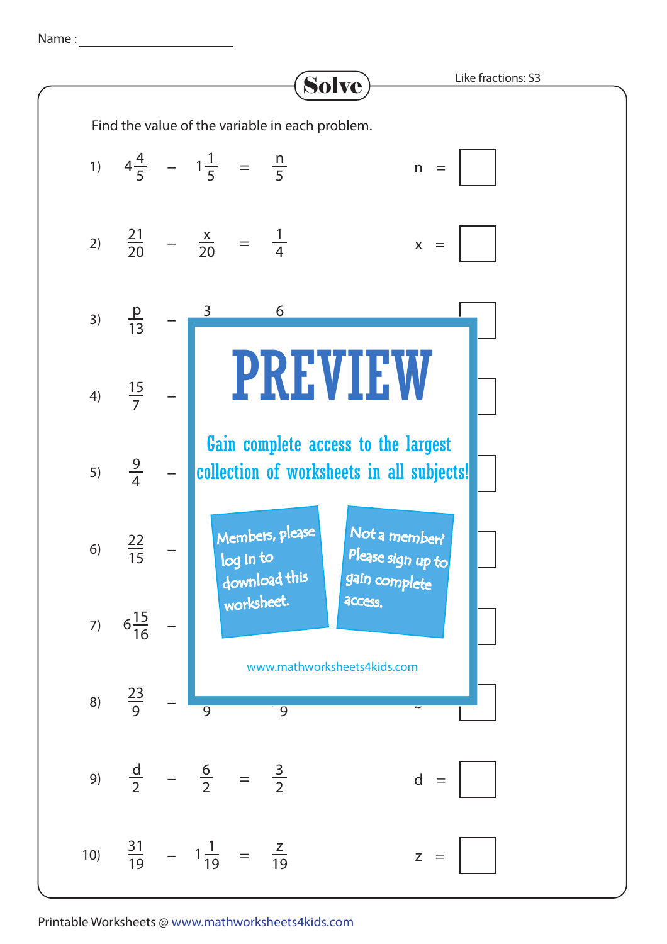